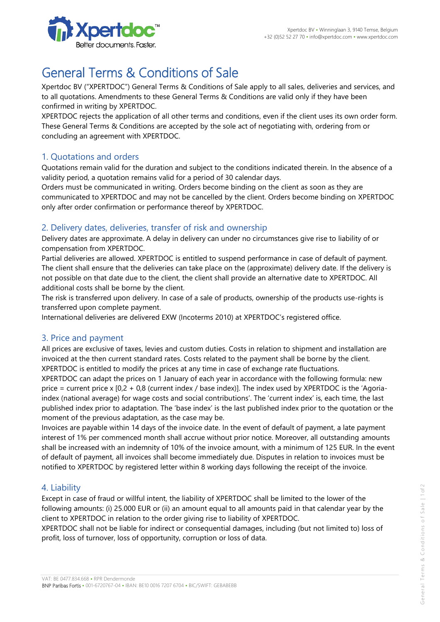

# General Terms & Conditions of Sale

Xpertdoc BV ("XPERTDOC") General Terms & Conditions of Sale apply to all sales, deliveries and services, and to all quotations. Amendments to these General Terms & Conditions are valid only if they have been confirmed in writing by XPERTDOC.

XPERTDOC rejects the application of all other terms and conditions, even if the client uses its own order form. These General Terms & Conditions are accepted by the sole act of negotiating with, ordering from or concluding an agreement with XPERTDOC.

## 1. Quotations and orders

Quotations remain valid for the duration and subject to the conditions indicated therein. In the absence of a validity period, a quotation remains valid for a period of 30 calendar days.

Orders must be communicated in writing. Orders become binding on the client as soon as they are communicated to XPERTDOC and may not be cancelled by the client. Orders become binding on XPERTDOC only after order confirmation or performance thereof by XPERTDOC.

# 2. Delivery dates, deliveries, transfer of risk and ownership

Delivery dates are approximate. A delay in delivery can under no circumstances give rise to liability of or compensation from XPERTDOC.

Partial deliveries are allowed. XPERTDOC is entitled to suspend performance in case of default of payment. The client shall ensure that the deliveries can take place on the (approximate) delivery date. If the delivery is not possible on that date due to the client, the client shall provide an alternative date to XPERTDOC. All additional costs shall be borne by the client.

The risk is transferred upon delivery. In case of a sale of products, ownership of the products use-rights is transferred upon complete payment.

International deliveries are delivered EXW (Incoterms 2010) at XPERTDOC's registered office.

## 3. Price and payment

All prices are exclusive of taxes, levies and custom duties. Costs in relation to shipment and installation are invoiced at the then current standard rates. Costs related to the payment shall be borne by the client. XPERTDOC is entitled to modify the prices at any time in case of exchange rate fluctuations.

XPERTDOC can adapt the prices on 1 January of each year in accordance with the following formula: new price = current price x  $[0,2 + 0,8]$  (current index / base index)]. The index used by XPERTDOC is the 'Agoriaindex (national average) for wage costs and social contributions'. The 'current index' is, each time, the last published index prior to adaptation. The 'base index' is the last published index prior to the quotation or the moment of the previous adaptation, as the case may be.

Invoices are payable within 14 days of the invoice date. In the event of default of payment, a late payment interest of 1% per commenced month shall accrue without prior notice. Moreover, all outstanding amounts shall be increased with an indemnity of 10% of the invoice amount, with a minimum of 125 EUR. In the event of default of payment, all invoices shall become immediately due. Disputes in relation to invoices must be notified to XPERTDOC by registered letter within 8 working days following the receipt of the invoice.

#### 4. Liability

Except in case of fraud or willful intent, the liability of XPERTDOC shall be limited to the lower of the following amounts: (i) 25.000 EUR or (ii) an amount equal to all amounts paid in that calendar year by the client to XPERTDOC in relation to the order giving rise to liability of XPERTDOC.

XPERTDOC shall not be liable for indirect or consequential damages, including (but not limited to) loss of profit, loss of turnover, loss of opportunity, corruption or loss of data.